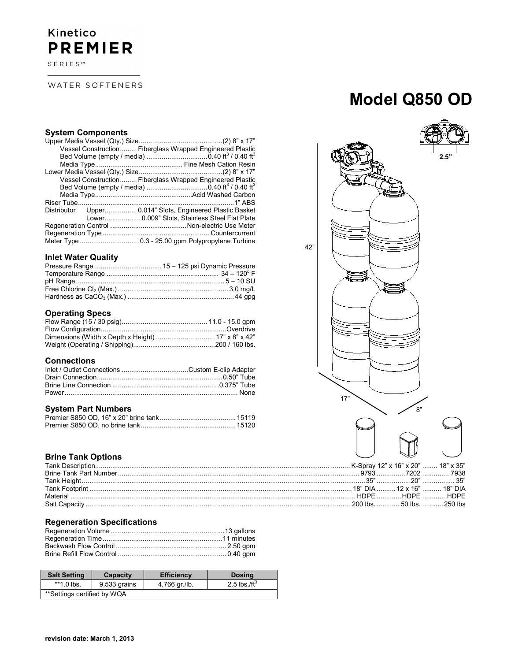# Kinetico **PREMIER**

SERIES™

WATER SOFTENERS

# **System Components**

|  | Vessel Construction Fiberglass Wrapped Engineered Plastic |
|--|-----------------------------------------------------------|
|  |                                                           |
|  |                                                           |
|  |                                                           |
|  | Vessel Construction Fiberglass Wrapped Engineered Plastic |
|  |                                                           |
|  |                                                           |
|  |                                                           |
|  | Distributor Upper 0.014" Slots, Engineered Plastic Basket |
|  | Lower 0.009" Slots, Stainless Steel Flat Plate            |
|  |                                                           |
|  |                                                           |
|  |                                                           |

## **Inlet Water Quality**

# **Operating Specs**

### **Connections**

## **System Part Numbers**

# **Brine Tank Options**

|  | HDPF HDPF HDPF |
|--|----------------|
|  |                |
|  |                |

## **Regeneration Specifications**

| <b>Salt Setting</b>         | Capacity     | <b>Efficiency</b> | <b>Dosing</b>    |
|-----------------------------|--------------|-------------------|------------------|
| $*1.0$ lbs.                 | 9,533 grains | 4,766 gr./lb.     | 2.5 lbs./ft $^3$ |
| **Settings certified by WQA |              |                   |                  |

# **Model Q850 OD**